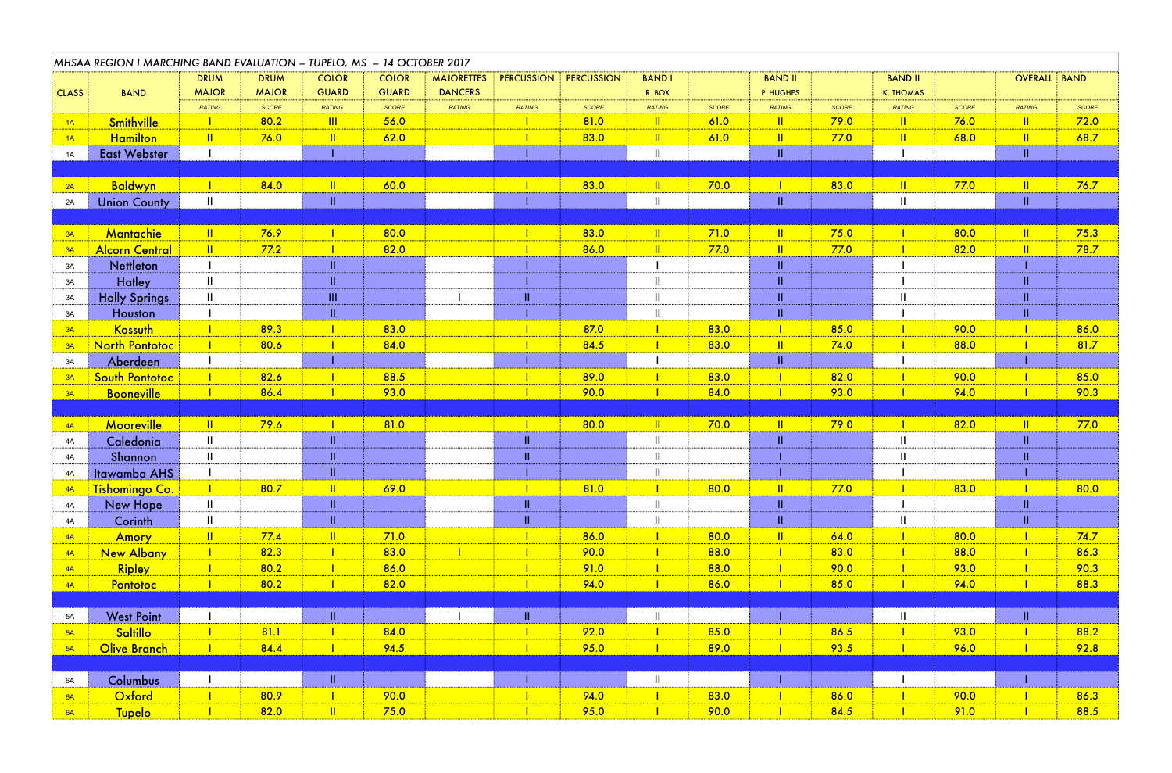|              | MHSAA REGION I MARCHING BAND EVALUATION - TUPELO, MS - 14 OCTOBER 2017 |                           |              |                          |              |                   |                   |                   |               |              |                                                                                                                       |              |                                 |       |               |              |
|--------------|------------------------------------------------------------------------|---------------------------|--------------|--------------------------|--------------|-------------------|-------------------|-------------------|---------------|--------------|-----------------------------------------------------------------------------------------------------------------------|--------------|---------------------------------|-------|---------------|--------------|
|              |                                                                        | <b>DRUM</b>               | <b>DRUM</b>  | <b>COLOR</b>             | <b>COLOR</b> | <b>MAJORETTES</b> | <b>PERCUSSION</b> | <b>PERCUSSION</b> | <b>BAND I</b> |              | <b>BAND II</b>                                                                                                        |              | <b>BAND II</b>                  |       | OVERALL BAND  |              |
| <b>CLASS</b> | <b>BAND</b>                                                            | <b>MAJOR</b>              | <b>MAJOR</b> | <b>GUARD</b>             | <b>GUARD</b> | <b>DANCERS</b>    |                   |                   | R. BOX        |              | P. HUGHES                                                                                                             |              | <b>K. THOMAS</b>                |       |               |              |
|              |                                                                        | <b>RATING</b>             | SCORE        | <b>RATING</b>            | <b>SCORE</b> | <b>RATING</b>     | <b>RATING</b>     | <b>SCORE</b>      | <b>RATING</b> | <b>SCORE</b> | <b>RATING</b>                                                                                                         | <b>SCORE</b> | <b>RATING</b>                   | SCORE | <b>RATING</b> | <b>SCORE</b> |
| 1A           | <b>Smithville</b>                                                      |                           | 80.2         | $\overline{\mathbf{  }}$ | 56.0         |                   |                   | 81.0              | $\mathbf{  }$ | 61.0         | $\mathbf{  }$                                                                                                         | 79.0         | $\mathbf{\mathbf{\mathsf{II}}}$ | 76.0  | $\ \cdot\ $   | 72.0         |
| 1A           | <b>Hamilton</b>                                                        | $\mathbf{II}$             | 76.0         | $\mathbf{II}$            | 62.0         |                   |                   | 83.0              | $\mathbf{  }$ | 61.0         | $\mathbf{  }$                                                                                                         | 77.0         | $\mathbf{II}$                   | 68.0  | $\mathbf{II}$ | 68.7         |
| 1A           | <b>East Webster</b>                                                    |                           |              |                          |              |                   |                   |                   | $\mathbf{II}$ |              | $\mathbf{II}$                                                                                                         |              |                                 |       | $\mathbf{II}$ |              |
|              |                                                                        |                           |              |                          |              |                   |                   |                   |               |              |                                                                                                                       |              |                                 |       |               |              |
| 2A           | <b>Baldwyn</b>                                                         |                           | 84.0         | $\mathbf{II}$            | 60.0         |                   |                   | 83.0              | $\mathbf{  }$ | 70.0         |                                                                                                                       | 83.0         | $\mathbf{II}$                   | 77.0  | $\mathbf{  }$ | 76.7         |
| 2A           | <b>Union County</b>                                                    | $\mathbf{II}$             |              | $\mathbf{II}$            |              |                   |                   |                   | $\mathbf{I}$  |              | $\mathbf{II}$                                                                                                         |              |                                 |       | $\mathbf{II}$ |              |
|              |                                                                        | $\mathbf{II}$             | 76.9         |                          | 80.0         |                   |                   | 83.0              | $\mathbf{II}$ | 71.0         | $\mathbf{II}$                                                                                                         | 75.0         |                                 | 80.0  | $\mathbf{  }$ | 75.3         |
| 3A           | Mantachie                                                              | $\mathbf{II}$             | 77.2         |                          |              |                   |                   | 86.0              | $\mathbf{  }$ | 77.0         | $\mathbf{  }$                                                                                                         | 77.0         |                                 | 82.0  | $\mathbf{I}$  | 78.7         |
| 3A           | <b>Alcorn Central</b>                                                  |                           |              | $\mathbf{H}$             | 82.0         |                   |                   |                   |               |              | $\mathbf{II}$                                                                                                         |              |                                 |       |               |              |
| 3A           | <b>Nettleton</b>                                                       | $\mathbf{II}$             |              | $\mathbf{H}$             |              |                   |                   |                   | $\mathbf{II}$ |              | $\Pi$                                                                                                                 |              |                                 |       | $\mathbf{H}$  |              |
| 3A           | <b>Hatley</b>                                                          | $\mathbf{II}$             |              | III                      |              |                   | $\mathbf{II}$     |                   | $\mathbf{II}$ |              | $\mathbf{II}$                                                                                                         |              |                                 |       | $\mathbf{H}$  |              |
| 3A           | <b>Holly Springs</b>                                                   |                           |              | $\mathbf{H}$             |              |                   |                   |                   | $\mathbf{I}$  |              | $\mathbf{II}$                                                                                                         |              |                                 |       | $\mathbf{H}$  |              |
| 3A           | <b>Houston</b><br>Kossuth                                              |                           | 89.3         |                          | 83.0         |                   |                   | 87.0              |               | 83.0         |                                                                                                                       | 85.0         |                                 | 90.0  |               | 86.0         |
| 3A           | <b>North Pontotoc</b>                                                  |                           | 80.6         |                          | 84.0         |                   |                   | 84.5              |               | 83.0         | $\mathbf{II}$                                                                                                         | 74.0         |                                 | 88.0  |               | 81.7         |
| 3A<br>3A     |                                                                        |                           |              |                          |              |                   |                   |                   |               |              | $\mathbf{II}$                                                                                                         |              |                                 |       |               |              |
| 3A           | Aberdeen<br>South Pontotoc                                             | <b>The Contract State</b> | 82.6         | $\blacksquare$           | 88.5         |                   | $\mathbf{L}$      | 89.0              | $\mathbf{L}$  | 83.0         | <b>The Contract of the Contract of the Contract of the Contract of the Contract of the Contract of the Contract o</b> | 82.0         | <b>The Contract Street</b>      | 90.0  | $\mathbf{L}$  | 85.0         |
|              | <b>Booneville</b>                                                      |                           | 86.4         |                          | 93.0         |                   |                   | 90.0              |               | 84.0         |                                                                                                                       | 93.0         |                                 | 94.0  |               | 90.3         |
| 3A           |                                                                        |                           |              |                          |              |                   |                   |                   |               |              |                                                                                                                       |              |                                 |       |               |              |
| 4A           | <b>Mooreville</b>                                                      | $\mathbf{II}$             | 79.6         |                          | 81.0         |                   |                   | 80.0              | $\mathbf{II}$ | 70.0         | $\mathbf{II}$                                                                                                         | 79.0         |                                 | 82.0  | $\mathbf{  }$ | 77.0         |
| 4A           | Caledonia                                                              | $\mathbf{II}$             |              | $\mathbf{H}$             |              |                   | $\mathbf{II}$     |                   | $\mathbf{II}$ |              | $\Pi$                                                                                                                 |              |                                 |       | $\mathbf{II}$ |              |
| 4A           | Shannon                                                                | $\mathbf{II}$             |              | $\mathbf{H}$             |              |                   | $\mathbf{II}$     |                   | $\mathbf{II}$ |              |                                                                                                                       |              |                                 |       | $\mathbf{II}$ |              |
| 4A           | <b>Itawamba AHS</b>                                                    |                           |              | $\mathbf{II}$            |              |                   |                   |                   | $\mathbf{  }$ |              |                                                                                                                       |              |                                 |       |               |              |
| 4A           | Tishomingo Co.                                                         |                           | 80.7         | $\mathbf{II}$            | 69.0         |                   |                   | 81.0              |               | 80.0         | $\mathbf{  }$                                                                                                         | 77.0         |                                 | 83.0  |               | 80.0         |
| 4A           | <b>New Hope</b>                                                        | $\mathbf{II}$             |              | $\mathbf{II}$            |              |                   | $\mathbf{II}$     |                   | $\mathbf{II}$ |              | $\mathbf{II}$                                                                                                         |              |                                 |       | $\mathbf{II}$ |              |
| 4A           | Corinth                                                                | $\mathbf{II}$             |              | $\mathbf{II}$            |              |                   | $\mathbf{II}$     |                   | $\mathbf{I}$  |              | $\mathbf{II}$                                                                                                         |              |                                 |       | $\mathbf{II}$ |              |
| 4A           | Amory                                                                  | $\mathbf{II}$             | 77.4         | $\mathbf{II}$            | 71.0         |                   |                   | 86.0              |               | 80.0         | $\mathbf{II}$                                                                                                         | 64.0         |                                 | 80.0  |               | 74.7         |
| 4A           | <b>New Albany</b>                                                      |                           | 82.3         | $\blacksquare$           | 83.0         |                   |                   | 90.0              |               | 88.0         |                                                                                                                       | 83.0         |                                 | 88.0  |               | 86.3         |
| 4A           | <b>Ripley</b>                                                          |                           | 80.2         |                          | 86.0         |                   |                   | 91.0              |               | 88.0         |                                                                                                                       | 90.0         |                                 | 93.0  |               | 90.3         |
| 4A           | Pontotoc                                                               |                           | 80.2         |                          | 82.0         |                   |                   | 94.0              |               | 86.0         |                                                                                                                       | 85.0         |                                 | 94.0  |               | 88.3         |
|              |                                                                        |                           |              |                          |              |                   |                   |                   |               |              |                                                                                                                       |              |                                 |       |               |              |
| 5A           | <b>West Point</b>                                                      |                           |              | $\mathbf{II}$            |              |                   | $\mathbf{II}$     |                   | $\mathbf{II}$ |              |                                                                                                                       |              |                                 |       | $\mathbf{II}$ |              |
| 5A           | Saltillo                                                               |                           | 81.1         |                          | 84.0         |                   |                   | 92.0              |               | 85.0         |                                                                                                                       | 86.5         |                                 | 93.0  |               | 88.2         |
| 5A           | <b>Olive Branch</b>                                                    |                           | 84.4         |                          | 94.5         |                   |                   | 95.0              |               | 89.0         |                                                                                                                       | 93.5         |                                 | 96.0  |               | 92.8         |
|              |                                                                        |                           |              |                          |              |                   |                   |                   |               |              |                                                                                                                       |              |                                 |       |               |              |
| 6A           | Columbus                                                               |                           |              | $\mathbf{II}$            |              |                   |                   |                   | $\mathbf{II}$ |              |                                                                                                                       |              |                                 |       |               |              |
| 6A           | Oxford                                                                 |                           | 80.9         |                          | 90.0         |                   |                   | 94.0              |               | 83.0         |                                                                                                                       | 86.0         |                                 | 90.0  |               | 86.3         |
| 6A           | <b>Tupelo</b>                                                          |                           | 82.0         | $\mathbf{  }$            | 75.0         |                   |                   | 95.0              |               | 90.0         |                                                                                                                       | 84.5         |                                 | 91.0  |               | 88.5         |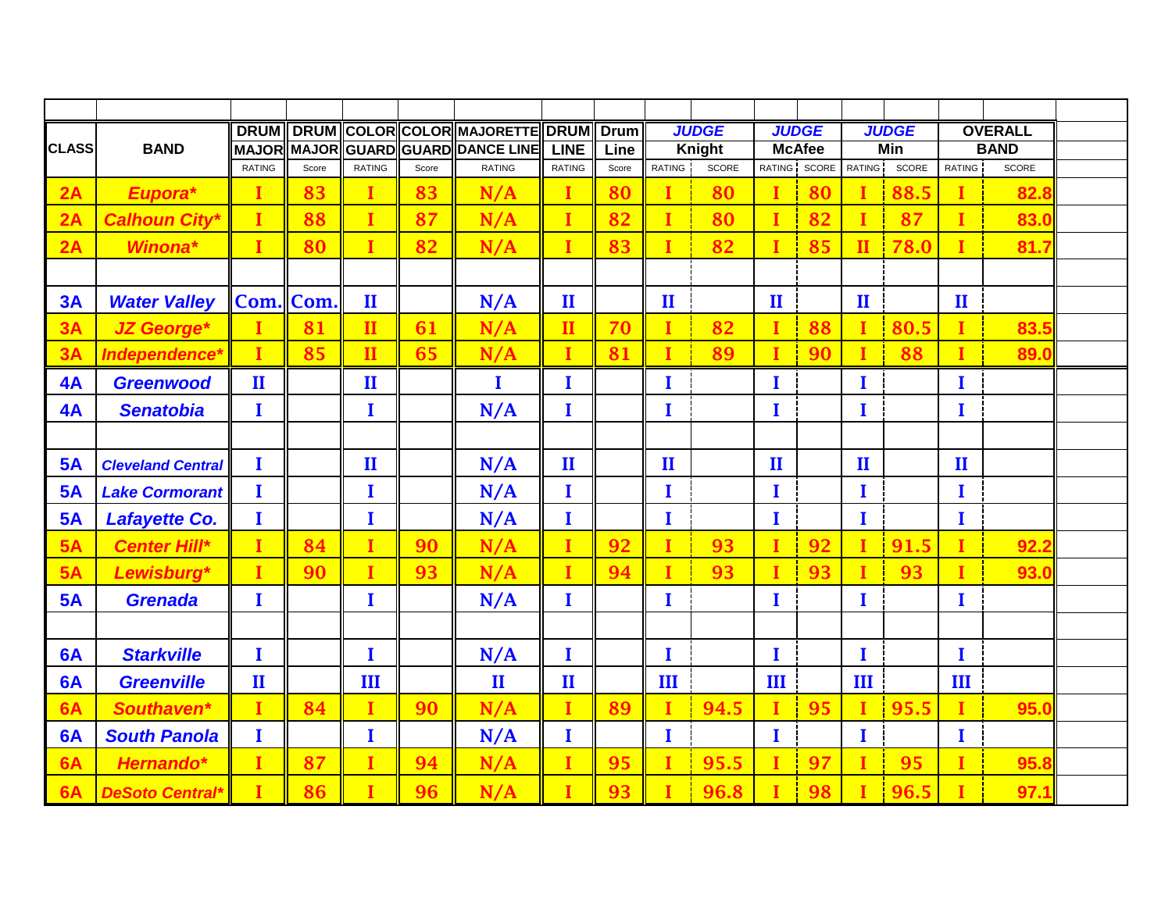|              |                          | <b>DRUM</b>   | <b>DRUM</b> |               |       | COLOR COLOR MAJORETTE  | <b>DRUM</b>   | <b>Drum</b> |              | <b>JUDGE</b> |                               | <b>JUDGE</b> |               | <b>JUDGE</b> |                              | <b>OVERALL</b> |  |
|--------------|--------------------------|---------------|-------------|---------------|-------|------------------------|---------------|-------------|--------------|--------------|-------------------------------|--------------|---------------|--------------|------------------------------|----------------|--|
| <b>CLASS</b> | <b>BAND</b>              | <b>MAJOR</b>  | MAJOR       |               |       | GUARD GUARD DANCE LINE | <b>LINE</b>   | Line        |              | Knight       | <b>McAfee</b><br>RATING SCORE |              | Min           |              | <b>BAND</b><br><b>RATING</b> |                |  |
|              |                          | <b>RATING</b> | Score       | <b>RATING</b> | Score | <b>RATING</b>          | <b>RATING</b> | Score       | RATING       | SCORE        |                               |              | <b>RATING</b> | SCORE        |                              | SCORE          |  |
| 2A           | Eupora*                  | T             | 83          | $\mathbf I$   | 83    | N/A                    | I             | 80          | $\mathbf{I}$ | 80           | I                             | 80           | I             | 88.5         | I                            | 82.8           |  |
| 2A           | <b>Calhoun City®</b>     | I             | 88          | $\mathbf I$   | 87    | N/A                    | $\mathbf{I}$  | 82          | $\mathbf{I}$ | 80           | $\mathbf I$                   | 82           | $\mathbf I$   | 87           | I                            | 83.0           |  |
| 2A           | Winona*                  | I             | 80          | $\mathbf I$   | 82    | N/A                    | I             | 83          | $\mathbf{I}$ | 82           | I                             | 85           | $\mathbf{I}$  | 78.0         | I                            | 81.7           |  |
|              |                          |               |             |               |       |                        |               |             |              |              |                               |              |               |              |                              |                |  |
| 3A           | <b>Water Valley</b>      | Com.          | Com.        | $\mathbf{I}$  |       | N/A                    | $\mathbf{I}$  |             | $\mathbf{I}$ |              | $\mathbf{I}$                  |              | $\mathbf{I}$  |              | $\mathbf{I}$                 |                |  |
| 3A           | <b>JZ George*</b>        |               | 81          | $\mathbf{I}$  | 61    | N/A                    | $\mathbf{I}$  | 70          | I            | 82           | $\mathbf I$                   | 88           | I             | 80.5         | I                            | 83.5           |  |
| 3A           | Independence*            | I             | 85          | $\mathbf{H}$  | 65    | N/A                    | $\mathbf{I}$  | 81          | $\mathbf I$  | 89           | I                             | 90           | $\mathbf I$   | 88           | I                            | 89.0           |  |
| 4A           | <b>Greenwood</b>         | $\mathbf{I}$  |             | $\mathbf{I}$  |       | I                      | I             |             | $\bf{I}$     |              | I                             |              | I             |              | I                            |                |  |
| 4A           | <b>Senatobia</b>         | $\mathbf I$   |             | I             |       | N/A                    | I             |             | $\mathbf{I}$ |              | $\bf{I}$                      |              | $\bf{I}$      |              | $\mathbf I$                  |                |  |
|              |                          |               |             |               |       |                        |               |             |              |              |                               |              |               |              |                              |                |  |
| <b>5A</b>    | <b>Cleveland Central</b> | I             |             | $\mathbf{I}$  |       | N/A                    | $\mathbf{I}$  |             | $\mathbf{I}$ |              | $\mathbf{I}$                  |              | $\mathbf{I}$  |              | $\mathbf{I}$                 |                |  |
| <b>5A</b>    | <b>Lake Cormorant</b>    | I             |             | I             |       | N/A                    | I             |             | $\bf{I}$     |              | I                             |              | I             |              | I                            |                |  |
| <b>5A</b>    | Lafayette Co.            | I             |             | I             |       | N/A                    | I             |             | $\bf{I}$     |              | I                             |              | I             |              | I                            |                |  |
| 5A           | <b>Center Hill*</b>      |               | 84          | $\mathbf I$   | 90    | N/A                    | I             | 92          | I            | 93           | I                             | 92           | I             | 91.5         |                              | 92.2           |  |
| 5A           | Lewisburg*               | Ī             | 90          | $\mathbf I$   | 93    | N/A                    | I             | 94          | I            | 93           | I                             | 93           | I             | 93           |                              | 93.0           |  |
| <b>5A</b>    | <b>Grenada</b>           | I             |             | I             |       | N/A                    | I             |             | $\bf{I}$     |              | I                             |              | I             |              | I                            |                |  |
|              |                          |               |             |               |       |                        |               |             |              |              |                               |              |               |              |                              |                |  |
| 6A           | <b>Starkville</b>        | T             |             | I             |       | N/A                    | I             |             | $\mathbf{I}$ |              | I                             |              | $\bf{I}$      |              | $\bf{I}$                     |                |  |
| 6A           | <b>Greenville</b>        | $\mathbf{I}$  |             | III           |       | $\mathbf{I}$           | $\mathbf{I}$  |             | Ш            |              | III                           |              | III           |              | III                          |                |  |
| 6A           | Southaven*               | I             | 84          | $\mathbf I$   | 90    | N/A                    | I             | 89          | $\bf I$      | 94.5         | I                             | 95           | т             | 95.5         | I                            | 95.0           |  |
| 6A           | <b>South Panola</b>      | I             |             | I             |       | N/A                    | I             |             | $\bf{I}$     |              | I                             |              | I             |              | I                            |                |  |
| 6A           | Hernando*                | I             | 87          | I             | 94    | N/A                    | I             | 95          | I            | 95.5         | I                             | 97           | I             | 95           | I                            | 95.8           |  |
| 6A           | <b>DeSoto Central*</b>   | т             | 86          | $\mathbf I$   | 96    | N/A                    | т             | 93          | T            | 96.8         | т                             | 98           | T             | 96.5         | т                            | 97.1           |  |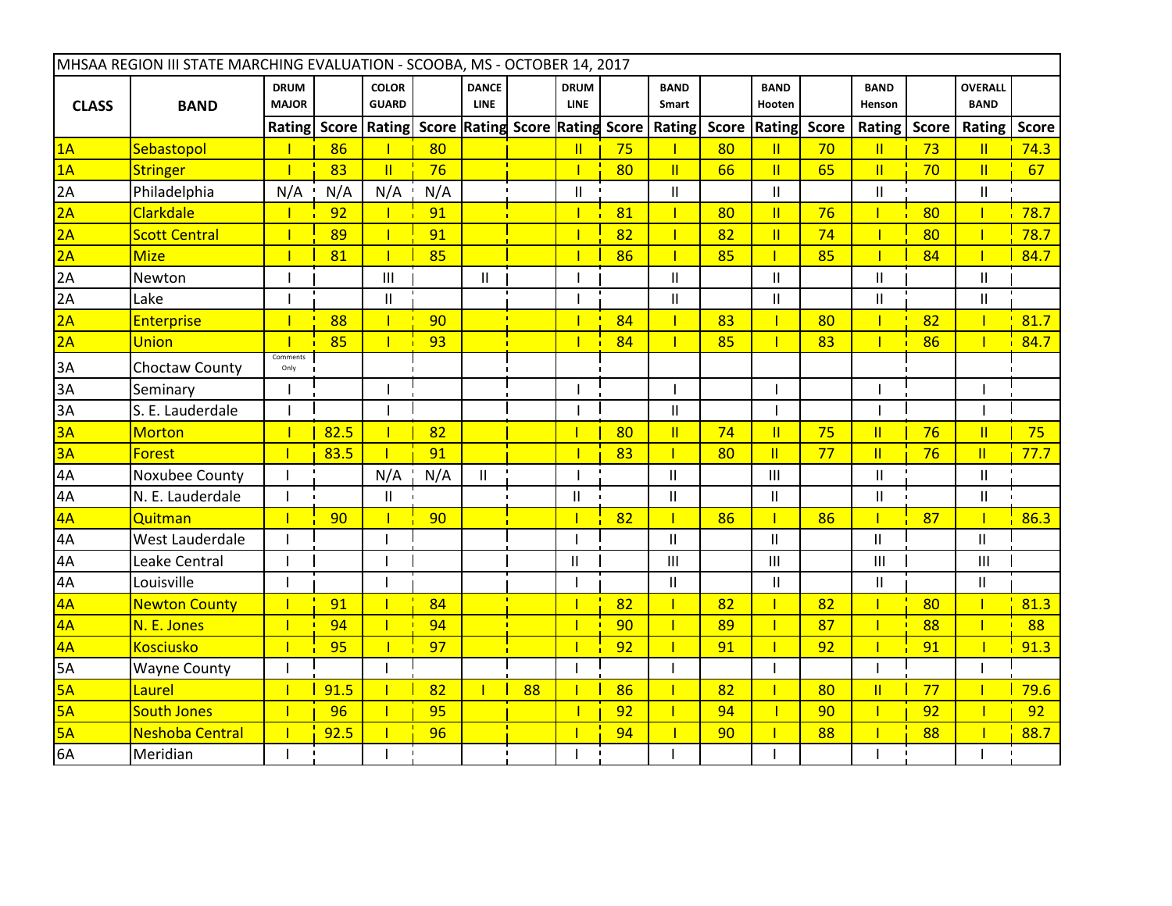|                 | MHSAA REGION III STATE MARCHING EVALUATION - SCOOBA, MS - OCTOBER 14, 2017 |                             |      |                                                             |     |                             |    |                            |    |                          |              |                                       |              |                            |              |                               |              |
|-----------------|----------------------------------------------------------------------------|-----------------------------|------|-------------------------------------------------------------|-----|-----------------------------|----|----------------------------|----|--------------------------|--------------|---------------------------------------|--------------|----------------------------|--------------|-------------------------------|--------------|
| <b>CLASS</b>    | <b>BAND</b>                                                                | <b>DRUM</b><br><b>MAJOR</b> |      | <b>COLOR</b><br><b>GUARD</b>                                |     | <b>DANCE</b><br><b>LINE</b> |    | <b>DRUM</b><br><b>LINE</b> |    | <b>BAND</b><br>Smart     |              | <b>BAND</b><br>Hooten                 |              | <b>BAND</b><br>Henson      |              | <b>OVERALL</b><br><b>BAND</b> |              |
|                 |                                                                            |                             |      | Rating Score   Rating   Score   Rating Score   Rating Score |     |                             |    |                            |    | <b>Rating</b>            | <b>Score</b> | Rating                                | <b>Score</b> | Rating                     | <b>Score</b> | Rating                        | <b>Score</b> |
| 1A              | Sebastopol                                                                 |                             | 86   |                                                             | 80  |                             |    | $\mathbf{II}$              | 75 |                          | 80           | $\mathbf{II}$                         | 70           | $\mathbf{II}$              | 73           | $\mathbf{II}$                 | 74.3         |
| 1A              | <b>Stringer</b>                                                            |                             | 83   | $\mathbf{II}$                                               | 76  |                             |    |                            | 80 | $\mathbf{II}$            | 66           | $\mathbf{I}$                          | 65           | $\mathbf{II}$              | 70           | $\mathbf{II}$                 | 67           |
| $\overline{2A}$ | Philadelphia                                                               | N/A                         | N/A  | N/A                                                         | N/A |                             |    | $\mathbf{II}$              |    | Ш                        |              | $\mathbf{II}$                         |              | $\mathbf{II}$              |              | Ш                             |              |
| 2A              | Clarkdale                                                                  |                             | 92   | $\mathbf{I}$                                                | 91  |                             |    |                            | 81 | $\overline{1}$           | 80           | $\overline{\mathbf{u}}$               | 76           | T                          | 80           |                               | 78.7         |
| 2A              | <b>Scott Central</b>                                                       |                             | 89   |                                                             | 91  |                             |    |                            | 82 | T                        | 82           | $\overline{\mathbf{u}}$               | 74           |                            | 80           |                               | 78.7         |
| 2A              | <b>Mize</b>                                                                |                             | 81   |                                                             | 85  |                             |    |                            | 86 |                          | 85           |                                       | 85           |                            | 84           |                               | 84.7         |
| $\overline{2A}$ | Newton                                                                     |                             |      | III                                                         |     | $\mathbf{H}$                |    |                            |    | $\mathbf{II}$            |              | $\mathbf{II}$                         |              | $\mathbf{II}$              |              | Ш                             |              |
| 2A              | Lake                                                                       |                             |      | $\mathbf{II}$                                               |     |                             |    |                            |    | $\mathsf{II}$            |              | $\begin{array}{c} \hline \end{array}$ |              | $\ensuremath{\mathsf{II}}$ |              | $\mathbf{I}$                  |              |
| 2A              | <b>Enterprise</b>                                                          |                             | 88   | $\mathbf{I}$                                                | 90  |                             |    |                            | 84 | $\mathbf{I}$             | 83           |                                       | 80           | $\mathbf{I}$               | 82           |                               | 81.7         |
| 2A              | <b>Union</b>                                                               |                             | 85   | $\mathbf{I}$                                                | 93  |                             |    |                            | 84 |                          | 85           |                                       | 83           |                            | 86           |                               | 84.7         |
| 3A              | Choctaw County                                                             | Comments<br>Only            |      |                                                             |     |                             |    |                            |    |                          |              |                                       |              |                            |              |                               |              |
| $\overline{3A}$ | Seminary                                                                   |                             |      |                                                             |     |                             |    |                            |    |                          |              |                                       |              |                            |              |                               |              |
| 3A              | S. E. Lauderdale                                                           |                             |      |                                                             |     |                             |    |                            |    | $\mathbf{I}$             |              |                                       |              |                            |              |                               |              |
| 3A              | <b>Morton</b>                                                              |                             | 82.5 |                                                             | 82  |                             |    |                            | 80 | $\overline{\mathsf{II}}$ | 74           | $\overline{\mathsf{I}}$               | 75           | $\mathbf{II}$              | 76           | $\mathbf{II}$                 | 75           |
| 3A              | <b>Forest</b>                                                              |                             | 83.5 |                                                             | 91  |                             |    |                            | 83 |                          | 80           | $\overline{\mathsf{I}}$               | 77           | $\mathbf{II}$              | 76           | $\mathbf{II}$                 | 77.7         |
| $\overline{4A}$ | Noxubee County                                                             |                             |      | N/A                                                         | N/A | $\mathbf{H}$                |    |                            |    | Ш                        |              | $\mathbf{III}$                        |              | $\mathbf{II}$              |              | $\mathbf{H}$                  |              |
| 4A              | N. E. Lauderdale                                                           |                             |      | $\mathbf{II}$                                               |     |                             |    | Ш                          |    | Ш                        |              | $\mathbf{I}$                          |              | $\mathsf{II}$              |              | $\mathbf{II}$                 |              |
| 4A              | Quitman                                                                    | $\mathbf{I}$                | 90   |                                                             | 90  |                             |    |                            | 82 |                          | 86           |                                       | 86           | т                          | 87           |                               | 86.3         |
| 4A              | West Lauderdale                                                            |                             |      |                                                             |     |                             |    |                            |    | $\mathbf{I}$             |              | $\mathbf{I}$                          |              | $\mathbf{I}$               |              | $\mathbf{H}$                  |              |
| 4A              | Leake Central                                                              |                             |      |                                                             |     |                             |    | $\mathbf{H}$               |    | $\mathsf{III}$           |              | $\mathbf{III}$                        |              | III                        |              | III                           |              |
| 4A              | Louisville                                                                 |                             |      |                                                             |     |                             |    |                            |    | Ш                        |              | $\mathbf{II}$                         |              | $\mathbf{II}$              |              | $\mathbf{H}$                  |              |
| 4A              | <b>Newton County</b>                                                       |                             | 91   |                                                             | 84  |                             |    |                            | 82 |                          | 82           |                                       | 82           |                            | 80           |                               | 81.3         |
| 4A              | N. E. Jones                                                                | $\mathbf{I}$                | 94   | $\mathbf{I}$                                                | 94  |                             |    |                            | 90 |                          | 89           |                                       | 87           | т                          | 88           |                               | 88           |
| 4A              | <b>Kosciusko</b>                                                           |                             | 95   |                                                             | 97  |                             |    |                            | 92 |                          | 91           |                                       | 92           |                            | 91           |                               | 91.3         |
| 5A              | <b>Wayne County</b>                                                        |                             |      |                                                             |     |                             |    |                            |    |                          |              |                                       |              |                            |              |                               |              |
| 5A              | Laurel                                                                     |                             | 91.5 | $\mathbf{I}$                                                | 82  | 1                           | 88 |                            | 86 |                          | 82           |                                       | 80           | $\mathbf{II}$              | 77           |                               | 79.6         |
| 5A              | <b>South Jones</b>                                                         |                             | 96   |                                                             | 95  |                             |    |                            | 92 |                          | 94           |                                       | 90           | Т                          | 92           |                               | 92           |
| 5A              | <b>Neshoba Central</b>                                                     |                             | 92.5 |                                                             | 96  |                             |    |                            | 94 |                          | 90           |                                       | 88           |                            | 88           |                               | 88.7         |
| 6A              | Meridian                                                                   |                             |      |                                                             |     |                             |    |                            |    |                          |              |                                       |              |                            |              |                               |              |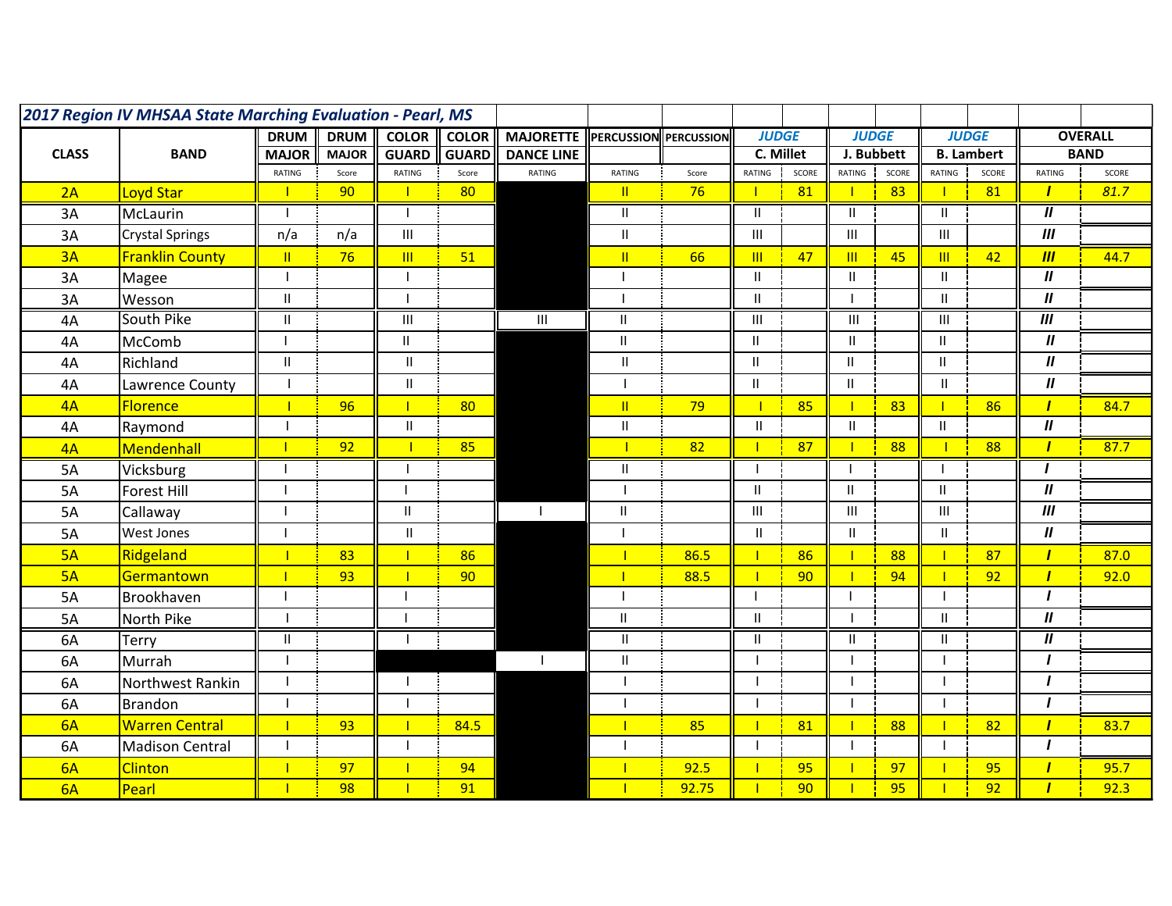| 2017 Region IV MHSAA State Marching Evaluation - Pearl, MS |                        |                            |              |               |              |                   |                           |                   |                                    |           |                |            |                   |       |                            |                |
|------------------------------------------------------------|------------------------|----------------------------|--------------|---------------|--------------|-------------------|---------------------------|-------------------|------------------------------------|-----------|----------------|------------|-------------------|-------|----------------------------|----------------|
|                                                            |                        | <b>DRUM</b>                | <b>DRUM</b>  | <b>COLOR</b>  | <b>COLOR</b> | <b>MAJORETTE</b>  | <b>PERCUSSION</b>         | <b>PERCUSSION</b> | <b>JUDGE</b>                       |           | <b>JUDGE</b>   |            | <b>JUDGE</b>      |       |                            | <b>OVERALL</b> |
| <b>CLASS</b>                                               | <b>BAND</b>            | <b>MAJOR</b>               | <b>MAJOR</b> | <b>GUARD</b>  | <b>GUARD</b> | <b>DANCE LINE</b> |                           |                   |                                    | C. Millet |                | J. Bubbett | <b>B.</b> Lambert |       |                            | <b>BAND</b>    |
|                                                            |                        | RATING                     | Score        | RATING        | Score        | RATING            | RATING                    | Score             | RATING                             | SCORE     | RATING         | SCORE      | RATING            | SCORE | RATING                     | SCORE          |
| 2A                                                         | Loyd Star              |                            | 90           |               | 80           |                   | $\mathbf{II}$             | 76                |                                    | 81        | $\mathbf{I}$   | 83         |                   | 81    | $\mathbf{I}$               | 81.7           |
| 3A                                                         | McLaurin               |                            |              |               |              |                   | $\mathbf{II}$             |                   | $\mathbf{II}$                      |           | $\mathbf{II}$  |            | $\mathbf{H}$      |       | $\overline{u}$             |                |
| 3A                                                         | <b>Crystal Springs</b> | n/a                        | n/a          | Ш             |              |                   | Ш                         |                   | $\mathbf{III}$                     |           | $\mathbf{III}$ |            | Ш                 |       | III                        |                |
| 3A                                                         | <b>Franklin County</b> | $\mathbf{H}$               | 76           | $\mathbb{H}$  | 51           |                   | $\mathbf{II}$             | 66                | $\mathbf{m}$                       | 47        | $\mathbf{m}$   | 45         | $\mathbb{H}$      | 42    | III                        | 44.7           |
| 3A                                                         | Magee                  |                            |              |               |              |                   |                           |                   | $\sf II$                           |           | Ш              |            | Ш.                |       | $\boldsymbol{\mathsf{II}}$ |                |
| 3A                                                         | Wesson                 | $\mathbf{II}$              |              |               |              |                   |                           |                   | $\mathbf{I}$                       |           |                |            | $\mathbf{H}$      |       | $\overline{u}$             |                |
| 4A                                                         | South Pike             | Ш                          |              | Ш             |              | Ш                 | $\mathbf{H}$              |                   | $\ensuremath{\mathsf{III}}\xspace$ |           | $\overline{1}$ |            | Ш                 |       | $\overline{m}$             |                |
| 4A                                                         | McComb                 |                            |              | Ш             |              |                   | $\mathbf{H}$              |                   | $\mathbf{I}$                       |           | Ш.             |            | Ш.                |       | $\boldsymbol{\mathsf{II}}$ |                |
| 4A                                                         | Richland               | $\ensuremath{\mathsf{II}}$ |              | $\mathbf{H}$  |              |                   | $\mathbf{II}$             |                   | $\mathbf{I}$                       |           | $\mathbf{H}$   |            | $\mathbf{II}$     |       | $\boldsymbol{\mathsf{II}}$ |                |
| 4A                                                         | Lawrence County        |                            |              | $\sf II$      |              |                   |                           |                   | Ш                                  |           | $\mathbf{H}$   |            | $\mathbf{H}$      |       | $\boldsymbol{H}$           |                |
| 4A                                                         | <b>Florence</b>        |                            | 96           | 1             | 80           |                   | $\mathbb{I}$              | 79                |                                    | 85        | т.             | 83         | т                 | 86    | $\mathbf{I}$               | 84.7           |
| 4A                                                         | Raymond                |                            |              | $\mathbf{H}$  |              |                   | $\ensuremath{\mathsf{H}}$ |                   | $\mathbf{H}$                       |           | $\mathbf{II}$  |            | $\mathbf{II}$     |       | $\boldsymbol{H}$           |                |
| 4A                                                         | Mendenhall             | $\mathbf{I}$               | 92           | ┓             | 85           |                   | $\mathbf{I}$              | 82                | П                                  | 87        | п              | 88         |                   | 88    | $\mathbf{I}$               | 87.7           |
| 5A                                                         | Vicksburg              |                            |              |               |              |                   | Ш                         |                   | - 1                                |           |                |            |                   |       | $\mathbf{I}$               |                |
| 5A                                                         | <b>Forest Hill</b>     | $\mathbf{I}$               |              |               |              |                   |                           |                   | $\mathbf{H}$                       |           | $\mathbf{H}$   |            | $\mathbf{H}$      |       | $\boldsymbol{\mathit{II}}$ |                |
| 5A                                                         | Callaway               |                            |              | $\mathbf{II}$ |              | $\mathbf{I}$      | $\mathbf{H}$              |                   | $\mathbf{III}$                     |           | $\mathsf{III}$ |            | III               |       | $\overline{m}$             |                |
| 5A                                                         | <b>West Jones</b>      |                            |              | $\mathbf{I}$  |              |                   |                           |                   | $\mathbf{H}$                       |           | $\mathbf{II}$  |            | $\mathbf{H}$      |       | $\boldsymbol{\mathsf{II}}$ |                |
| 5A                                                         | Ridgeland              | $\overline{\phantom{a}}$   | 83           | П             | 86           |                   | Т                         | 86.5              | $\mathbf{I}$                       | 86        | $\mathbf{L}$   | 88         |                   | 87    | $\mathbf{I}$               | 87.0           |
| 5A                                                         | Germantown             | $\mathbf{I}$               | 93           |               | 90           |                   | $\mathbf{I}$              | 88.5              | $\mathbf{I}$                       | 90        | $\mathbf{L}$   | 94         |                   | 92    | $\mathbf{I}$               | 92.0           |
| 5A                                                         | Brookhaven             |                            |              |               |              |                   |                           |                   | $\overline{\phantom{a}}$           |           | $\mathbf{I}$   |            |                   |       | $\mathbf{I}$               |                |
| 5A                                                         | North Pike             |                            |              |               |              |                   | $\mathbf{H}$              |                   | $\mathbf{I}$                       |           |                |            | $\mathbf{H}$      |       | $\boldsymbol{\mathsf{II}}$ |                |
| 6A                                                         | Terry                  | $\mathbf{I}$               |              |               |              |                   | $\mathbf{H}$              |                   | $\mathbf{II}$                      |           | $\mathbf{II}$  |            | $\mathbf{H}$      |       | $\boldsymbol{\mathsf{II}}$ |                |
| 6A                                                         | Murrah                 |                            |              |               |              | $\mathbf{I}$      | $\mathsf{II}$             |                   | $\overline{\phantom{a}}$           |           |                |            |                   |       | $\mathbf{I}$               |                |
| 6A                                                         | Northwest Rankin       |                            |              |               |              |                   |                           |                   |                                    |           |                |            |                   |       | $\mathbf{I}$               |                |
| 6A                                                         | <b>Brandon</b>         |                            |              |               |              |                   |                           |                   | ı                                  |           |                |            |                   |       | $\mathbf{I}$               |                |
| 6A                                                         | <b>Warren Central</b>  | $\mathbf{I}$               | 93           |               | 84.5         |                   | п                         | 85                | $\mathbf{I}$                       | 81        | $\mathbf{L}$   | 88         |                   | 82    | $\mathbf{I}$               | 83.7           |
| 6A                                                         | <b>Madison Central</b> |                            |              |               |              |                   |                           |                   | $\mathbf{I}$                       |           |                |            |                   |       | $\mathbf{I}$               |                |
| 6A                                                         | <b>Clinton</b>         |                            | 97           |               | 94           |                   |                           | 92.5              | п                                  | 95        |                | 97         |                   | 95    | $\mathbf{I}$               | 95.7           |
| 6A                                                         | Pearl                  | T                          | 98           |               | 91           |                   |                           | 92.75             | $\mathbf{I}$                       | 90        | $\mathbf{L}$   | 95         |                   | 92    | $\mathbf{I}$               | 92.3           |